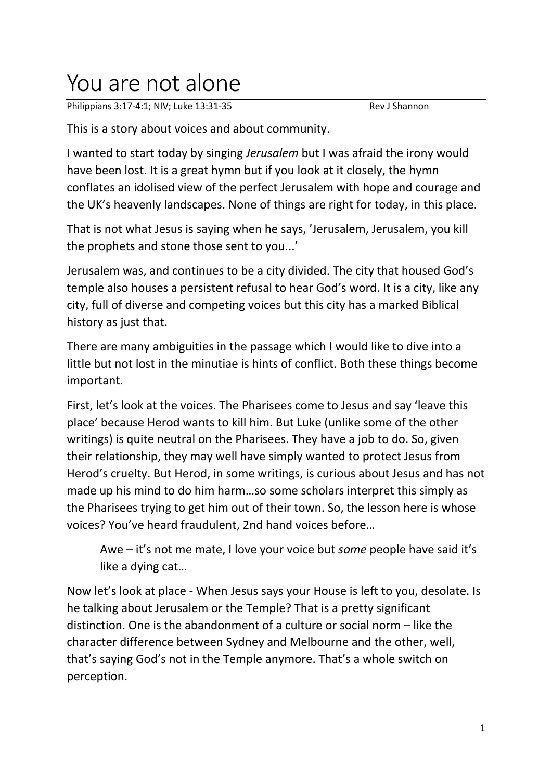## You are not alone

Philippians 3:17-4:1; NIV; Luke 13:31-35 Rev J Shannon

This is a story about voices and about community.

I wanted to start today by singing *Jerusalem* but I was afraid the irony would have been lost. It is a great hymn but if you look at it closely, the hymn conflates an idolised view of the perfect Jerusalem with hope and courage and the UK's heavenly landscapes. None of things are right for today, in this place.

That is not what Jesus is saying when he says, 'Jerusalem, Jerusalem, you kill the prophets and stone those sent to you...'

Jerusalem was, and continues to be a city divided. The city that housed God's temple also houses a persistent refusal to hear God's word. It is a city, like any city, full of diverse and competing voices but this city has a marked Biblical history as just that.

There are many ambiguities in the passage which I would like to dive into a little but not lost in the minutiae is hints of conflict. Both these things become important.

First, let's look at the voices. The Pharisees come to Jesus and say 'leave this place' because Herod wants to kill him. But Luke (unlike some of the other writings) is quite neutral on the Pharisees. They have a job to do. So, given their relationship, they may well have simply wanted to protect Jesus from Herod's cruelty. But Herod, in some writings, is curious about Jesus and has not made up his mind to do him harm…so some scholars interpret this simply as the Pharisees trying to get him out of their town. So, the lesson here is whose voices? You've heard fraudulent, 2nd hand voices before…

Awe – it's not me mate, I love your voice but *some* people have said it's like a dying cat…

Now let's look at place - When Jesus says your House is left to you, desolate. Is he talking about Jerusalem or the Temple? That is a pretty significant distinction. One is the abandonment of a culture or social norm – like the character difference between Sydney and Melbourne and the other, well, that's saying God's not in the Temple anymore. That's a whole switch on perception.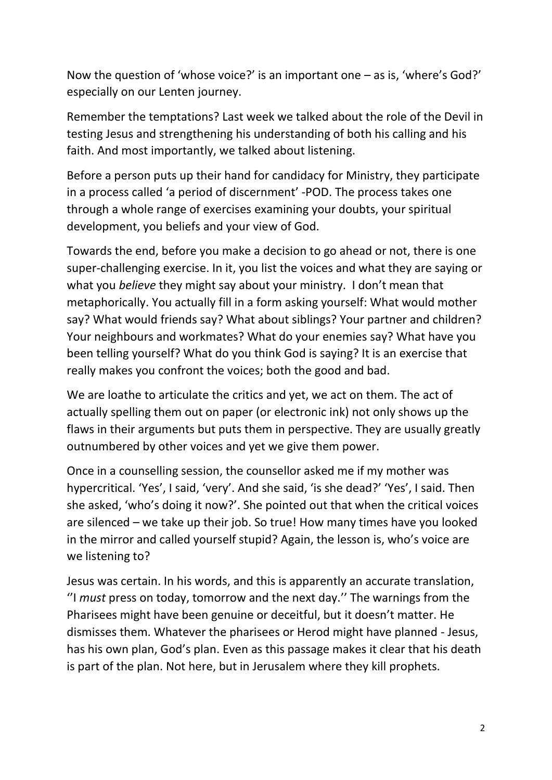Now the question of 'whose voice?' is an important one – as is, 'where's God?' especially on our Lenten journey.

Remember the temptations? Last week we talked about the role of the Devil in testing Jesus and strengthening his understanding of both his calling and his faith. And most importantly, we talked about listening.

Before a person puts up their hand for candidacy for Ministry, they participate in a process called 'a period of discernment' -POD. The process takes one through a whole range of exercises examining your doubts, your spiritual development, you beliefs and your view of God.

Towards the end, before you make a decision to go ahead or not, there is one super-challenging exercise. In it, you list the voices and what they are saying or what you *believe* they might say about your ministry. I don't mean that metaphorically. You actually fill in a form asking yourself: What would mother say? What would friends say? What about siblings? Your partner and children? Your neighbours and workmates? What do your enemies say? What have you been telling yourself? What do you think God is saying? It is an exercise that really makes you confront the voices; both the good and bad.

We are loathe to articulate the critics and yet, we act on them. The act of actually spelling them out on paper (or electronic ink) not only shows up the flaws in their arguments but puts them in perspective. They are usually greatly outnumbered by other voices and yet we give them power.

Once in a counselling session, the counsellor asked me if my mother was hypercritical. 'Yes', I said, 'very'. And she said, 'is she dead?' 'Yes', I said. Then she asked, 'who's doing it now?'. She pointed out that when the critical voices are silenced – we take up their job. So true! How many times have you looked in the mirror and called yourself stupid? Again, the lesson is, who's voice are we listening to?

Jesus was certain. In his words, and this is apparently an accurate translation, ''I *must* press on today, tomorrow and the next day.'' The warnings from the Pharisees might have been genuine or deceitful, but it doesn't matter. He dismisses them. Whatever the pharisees or Herod might have planned - Jesus, has his own plan, God's plan. Even as this passage makes it clear that his death is part of the plan. Not here, but in Jerusalem where they kill prophets.